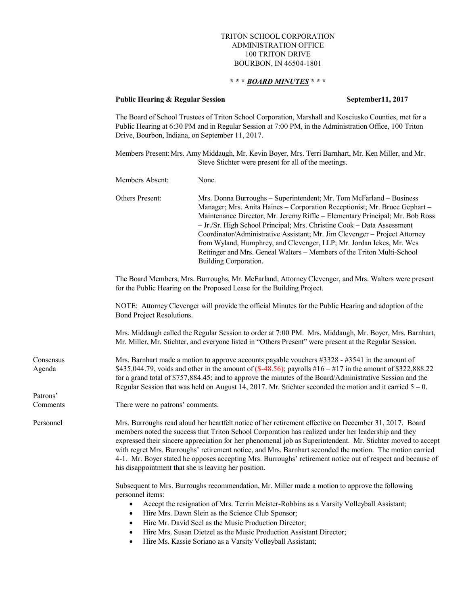## TRITON SCHOOL CORPORATION ADMINISTRATION OFFICE 100 TRITON DRIVE BOURBON, IN 46504-1801

## **\* \* \*** *BOARD MINUTES* **\* \* \***

## **Public Hearing & Regular Session September 11, 2017**

The Board of School Trustees of Triton School Corporation, Marshall and Kosciusko Counties, met for a Public Hearing at 6:30 PM and in Regular Session at 7:00 PM, in the Administration Office, 100 Triton Drive, Bourbon, Indiana, on September 11, 2017.

Members Present:Mrs. Amy Middaugh, Mr. Kevin Boyer, Mrs. Terri Barnhart, Mr. Ken Miller, and Mr. Steve Stichter were present for all of the meetings.

|                      | Members Absent:                                                                                                                                                                                                                                                                                                                                                                                                                                                                                                                                                                                                | None.                                                                                                                                                                                                                                                                                                                                                                                                                                                                                                                                                                |  |
|----------------------|----------------------------------------------------------------------------------------------------------------------------------------------------------------------------------------------------------------------------------------------------------------------------------------------------------------------------------------------------------------------------------------------------------------------------------------------------------------------------------------------------------------------------------------------------------------------------------------------------------------|----------------------------------------------------------------------------------------------------------------------------------------------------------------------------------------------------------------------------------------------------------------------------------------------------------------------------------------------------------------------------------------------------------------------------------------------------------------------------------------------------------------------------------------------------------------------|--|
|                      | Others Present:                                                                                                                                                                                                                                                                                                                                                                                                                                                                                                                                                                                                | Mrs. Donna Burroughs - Superintendent; Mr. Tom McFarland - Business<br>Manager; Mrs. Anita Haines - Corporation Receptionist; Mr. Bruce Gephart -<br>Maintenance Director; Mr. Jeremy Riffle - Elementary Principal; Mr. Bob Ross<br>- Jr./Sr. High School Principal; Mrs. Christine Cook - Data Assessment<br>Coordinator/Administrative Assistant; Mr. Jim Clevenger - Project Attorney<br>from Wyland, Humphrey, and Clevenger, LLP; Mr. Jordan Ickes, Mr. Wes<br>Rettinger and Mrs. Geneal Walters - Members of the Triton Multi-School<br>Building Corporation. |  |
|                      | The Board Members, Mrs. Burroughs, Mr. McFarland, Attorney Clevenger, and Mrs. Walters were present<br>for the Public Hearing on the Proposed Lease for the Building Project.                                                                                                                                                                                                                                                                                                                                                                                                                                  |                                                                                                                                                                                                                                                                                                                                                                                                                                                                                                                                                                      |  |
|                      |                                                                                                                                                                                                                                                                                                                                                                                                                                                                                                                                                                                                                | NOTE: Attorney Clevenger will provide the official Minutes for the Public Hearing and adoption of the<br>Bond Project Resolutions.                                                                                                                                                                                                                                                                                                                                                                                                                                   |  |
|                      | Mrs. Middaugh called the Regular Session to order at 7:00 PM. Mrs. Middaugh, Mr. Boyer, Mrs. Barnhart,<br>Mr. Miller, Mr. Stichter, and everyone listed in "Others Present" were present at the Regular Session.                                                                                                                                                                                                                                                                                                                                                                                               |                                                                                                                                                                                                                                                                                                                                                                                                                                                                                                                                                                      |  |
| Consensus<br>Agenda  | Mrs. Barnhart made a motion to approve accounts payable vouchers #3328 - #3541 in the amount of<br>\$435,044.79, voids and other in the amount of $(\$-48.56)$ ; payrolls $#16 - #17$ in the amount of \$322,888.22<br>for a grand total of \$757,884.45; and to approve the minutes of the Board/Administrative Session and the<br>Regular Session that was held on August 14, 2017. Mr. Stichter seconded the motion and it carried $5 - 0$ .                                                                                                                                                                |                                                                                                                                                                                                                                                                                                                                                                                                                                                                                                                                                                      |  |
| Patrons'<br>Comments | There were no patrons' comments.                                                                                                                                                                                                                                                                                                                                                                                                                                                                                                                                                                               |                                                                                                                                                                                                                                                                                                                                                                                                                                                                                                                                                                      |  |
| Personnel            | Mrs. Burroughs read aloud her heartfelt notice of her retirement effective on December 31, 2017. Board<br>members noted the success that Triton School Corporation has realized under her leadership and they<br>expressed their sincere appreciation for her phenomenal job as Superintendent. Mr. Stichter moved to accept<br>with regret Mrs. Burroughs' retirement notice, and Mrs. Barnhart seconded the motion. The motion carried<br>4-1. Mr. Boyer stated he opposes accepting Mrs. Burroughs' retirement notice out of respect and because of<br>his disappointment that she is leaving her position. |                                                                                                                                                                                                                                                                                                                                                                                                                                                                                                                                                                      |  |
|                      | personnel items:<br>$\bullet$<br>$\bullet$                                                                                                                                                                                                                                                                                                                                                                                                                                                                                                                                                                     | Subsequent to Mrs. Burroughs recommendation, Mr. Miller made a motion to approve the following<br>Accept the resignation of Mrs. Terrin Meister-Robbins as a Varsity Volleyball Assistant;<br>Hire Mrs. Dawn Slein as the Science Club Sponsor;<br>Hire Mr. David Seel as the Music Production Director;<br>Hire Mrs. Susan Dietzel as the Music Production Assistant Director;                                                                                                                                                                                      |  |
|                      |                                                                                                                                                                                                                                                                                                                                                                                                                                                                                                                                                                                                                | Hire Ms. Kassie Soriano as a Varsity Volleyball Assistant;                                                                                                                                                                                                                                                                                                                                                                                                                                                                                                           |  |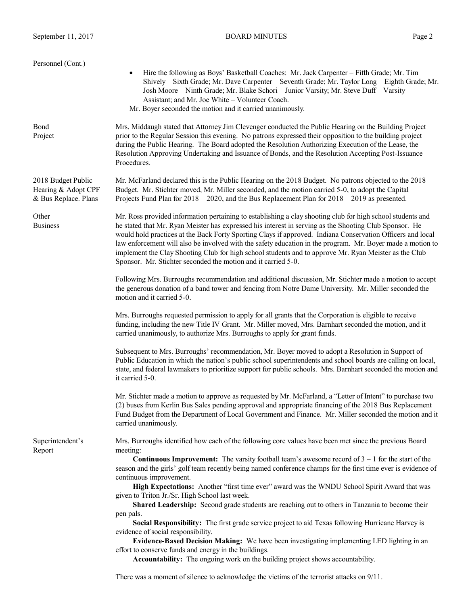| Personnel (Cont.)<br>Hire the following as Boys' Basketball Coaches: Mr. Jack Carpenter – Fifth Grade; Mr. Tim<br>$\bullet$<br>Shively – Sixth Grade; Mr. Dave Carpenter – Seventh Grade; Mr. Taylor Long – Eighth Grade; Mr.<br>Josh Moore - Ninth Grade; Mr. Blake Schori - Junior Varsity; Mr. Steve Duff - Varsity<br>Assistant; and Mr. Joe White - Volunteer Coach.<br>Mr. Boyer seconded the motion and it carried unanimously.<br>Bond<br>Mrs. Middaugh stated that Attorney Jim Clevenger conducted the Public Hearing on the Building Project<br>prior to the Regular Session this evening. No patrons expressed their opposition to the building project<br>Project<br>during the Public Hearing. The Board adopted the Resolution Authorizing Execution of the Lease, the<br>Resolution Approving Undertaking and Issuance of Bonds, and the Resolution Accepting Post-Issuance |
|---------------------------------------------------------------------------------------------------------------------------------------------------------------------------------------------------------------------------------------------------------------------------------------------------------------------------------------------------------------------------------------------------------------------------------------------------------------------------------------------------------------------------------------------------------------------------------------------------------------------------------------------------------------------------------------------------------------------------------------------------------------------------------------------------------------------------------------------------------------------------------------------|
|                                                                                                                                                                                                                                                                                                                                                                                                                                                                                                                                                                                                                                                                                                                                                                                                                                                                                             |
| Procedures.                                                                                                                                                                                                                                                                                                                                                                                                                                                                                                                                                                                                                                                                                                                                                                                                                                                                                 |
| 2018 Budget Public<br>Mr. McFarland declared this is the Public Hearing on the 2018 Budget. No patrons objected to the 2018<br>Budget. Mr. Stichter moved, Mr. Miller seconded, and the motion carried 5-0, to adopt the Capital<br>Hearing & Adopt CPF<br>& Bus Replace. Plans<br>Projects Fund Plan for $2018 - 2020$ , and the Bus Replacement Plan for $2018 - 2019$ as presented.                                                                                                                                                                                                                                                                                                                                                                                                                                                                                                      |
| Mr. Ross provided information pertaining to establishing a clay shooting club for high school students and<br>Other<br><b>Business</b><br>he stated that Mr. Ryan Meister has expressed his interest in serving as the Shooting Club Sponsor. He<br>would hold practices at the Back Forty Sporting Clays if approved. Indiana Conservation Officers and local<br>law enforcement will also be involved with the safety education in the program. Mr. Boyer made a motion to<br>implement the Clay Shooting Club for high school students and to approve Mr. Ryan Meister as the Club<br>Sponsor. Mr. Stichter seconded the motion and it carried 5-0.                                                                                                                                                                                                                                      |
| Following Mrs. Burroughs recommendation and additional discussion, Mr. Stichter made a motion to accept<br>the generous donation of a band tower and fencing from Notre Dame University. Mr. Miller seconded the<br>motion and it carried 5-0.                                                                                                                                                                                                                                                                                                                                                                                                                                                                                                                                                                                                                                              |
| Mrs. Burroughs requested permission to apply for all grants that the Corporation is eligible to receive<br>funding, including the new Title IV Grant. Mr. Miller moved, Mrs. Barnhart seconded the motion, and it<br>carried unanimously, to authorize Mrs. Burroughs to apply for grant funds.                                                                                                                                                                                                                                                                                                                                                                                                                                                                                                                                                                                             |
| Subsequent to Mrs. Burroughs' recommendation, Mr. Boyer moved to adopt a Resolution in Support of<br>Public Education in which the nation's public school superintendents and school boards are calling on local,<br>state, and federal lawmakers to prioritize support for public schools. Mrs. Barnhart seconded the motion and<br>it carried 5-0.                                                                                                                                                                                                                                                                                                                                                                                                                                                                                                                                        |
| Mr. Stichter made a motion to approve as requested by Mr. McFarland, a "Letter of Intent" to purchase two<br>(2) buses from Kerlin Bus Sales pending approval and appropriate financing of the 2018 Bus Replacement<br>Fund Budget from the Department of Local Government and Finance. Mr. Miller seconded the motion and it<br>carried unanimously.                                                                                                                                                                                                                                                                                                                                                                                                                                                                                                                                       |
| Mrs. Burroughs identified how each of the following core values have been met since the previous Board<br>Superintendent's<br>Report<br>meeting:<br><b>Continuous Improvement:</b> The varsity football team's awesome record of $3 - 1$ for the start of the<br>season and the girls' golf team recently being named conference champs for the first time ever is evidence of<br>continuous improvement.<br>High Expectations: Another "first time ever" award was the WNDU School Spirit Award that was                                                                                                                                                                                                                                                                                                                                                                                   |
| given to Triton Jr./Sr. High School last week.<br>Shared Leadership: Second grade students are reaching out to others in Tanzania to become their                                                                                                                                                                                                                                                                                                                                                                                                                                                                                                                                                                                                                                                                                                                                           |
| pen pals.<br>Social Responsibility: The first grade service project to aid Texas following Hurricane Harvey is<br>evidence of social responsibility.<br>Evidence-Based Decision Making: We have been investigating implementing LED lighting in an<br>effort to conserve funds and energy in the buildings.                                                                                                                                                                                                                                                                                                                                                                                                                                                                                                                                                                                 |
| Accountability: The ongoing work on the building project shows accountability.<br>There was a moment of silence to acknowledge the victims of the terrorist attacks on 9/11.                                                                                                                                                                                                                                                                                                                                                                                                                                                                                                                                                                                                                                                                                                                |